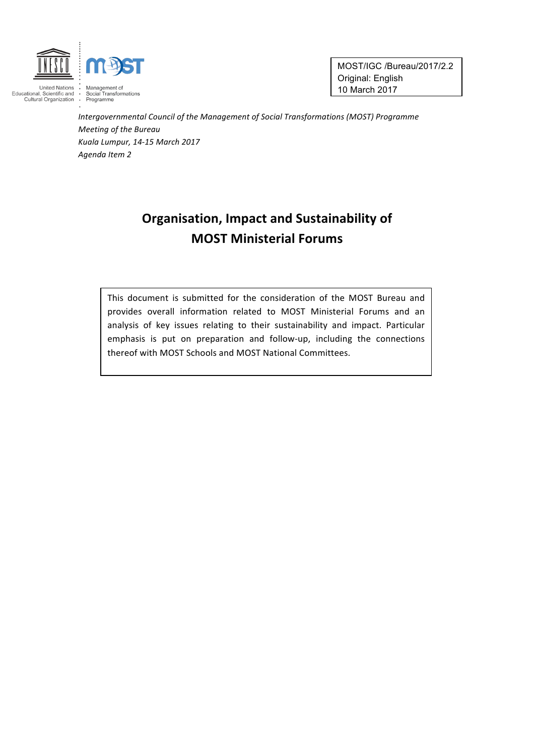

MOST/IGC /Bureau/2017/2.2 Original: English 10 March 2017

Intergovernmental Council of the Management of Social Transformations (MOST) Programme *Meeting of the Bureau Kuala Lumpur, 14-15 March 2017 Agenda Item 2*

# **Organisation, Impact and Sustainability of MOST Ministerial Forums**

This document is submitted for the consideration of the MOST Bureau and provides overall information related to MOST Ministerial Forums and an analysis of key issues relating to their sustainability and impact. Particular emphasis is put on preparation and follow-up, including the connections thereof with MOST Schools and MOST National Committees.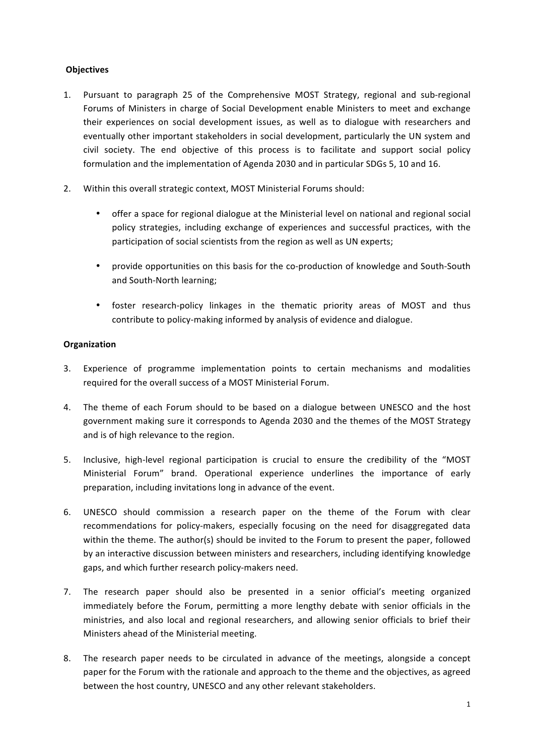## **Objectives**

- 1. Pursuant to paragraph 25 of the Comprehensive MOST Strategy, regional and sub-regional Forums of Ministers in charge of Social Development enable Ministers to meet and exchange their experiences on social development issues, as well as to dialogue with researchers and eventually other important stakeholders in social development, particularly the UN system and civil society. The end objective of this process is to facilitate and support social policy formulation and the implementation of Agenda 2030 and in particular SDGs 5, 10 and 16.
- 2. Within this overall strategic context, MOST Ministerial Forums should:
	- offer a space for regional dialogue at the Ministerial level on national and regional social policy strategies, including exchange of experiences and successful practices, with the participation of social scientists from the region as well as UN experts;
	- provide opportunities on this basis for the co-production of knowledge and South-South and South-North learning;
	- foster research-policy linkages in the thematic priority areas of MOST and thus contribute to policy-making informed by analysis of evidence and dialogue.

## **Organization**

- 3. Experience of programme implementation points to certain mechanisms and modalities required for the overall success of a MOST Ministerial Forum.
- 4. The theme of each Forum should to be based on a dialogue between UNESCO and the host government making sure it corresponds to Agenda 2030 and the themes of the MOST Strategy and is of high relevance to the region.
- 5. Inclusive, high-level regional participation is crucial to ensure the credibility of the "MOST Ministerial Forum" brand. Operational experience underlines the importance of early preparation, including invitations long in advance of the event.
- 6. UNESCO should commission a research paper on the theme of the Forum with clear recommendations for policy-makers, especially focusing on the need for disaggregated data within the theme. The author(s) should be invited to the Forum to present the paper, followed by an interactive discussion between ministers and researchers, including identifying knowledge gaps, and which further research policy-makers need.
- 7. The research paper should also be presented in a senior official's meeting organized immediately before the Forum, permitting a more lengthy debate with senior officials in the ministries, and also local and regional researchers, and allowing senior officials to brief their Ministers ahead of the Ministerial meeting.
- 8. The research paper needs to be circulated in advance of the meetings, alongside a concept paper for the Forum with the rationale and approach to the theme and the objectives, as agreed between the host country, UNESCO and any other relevant stakeholders.